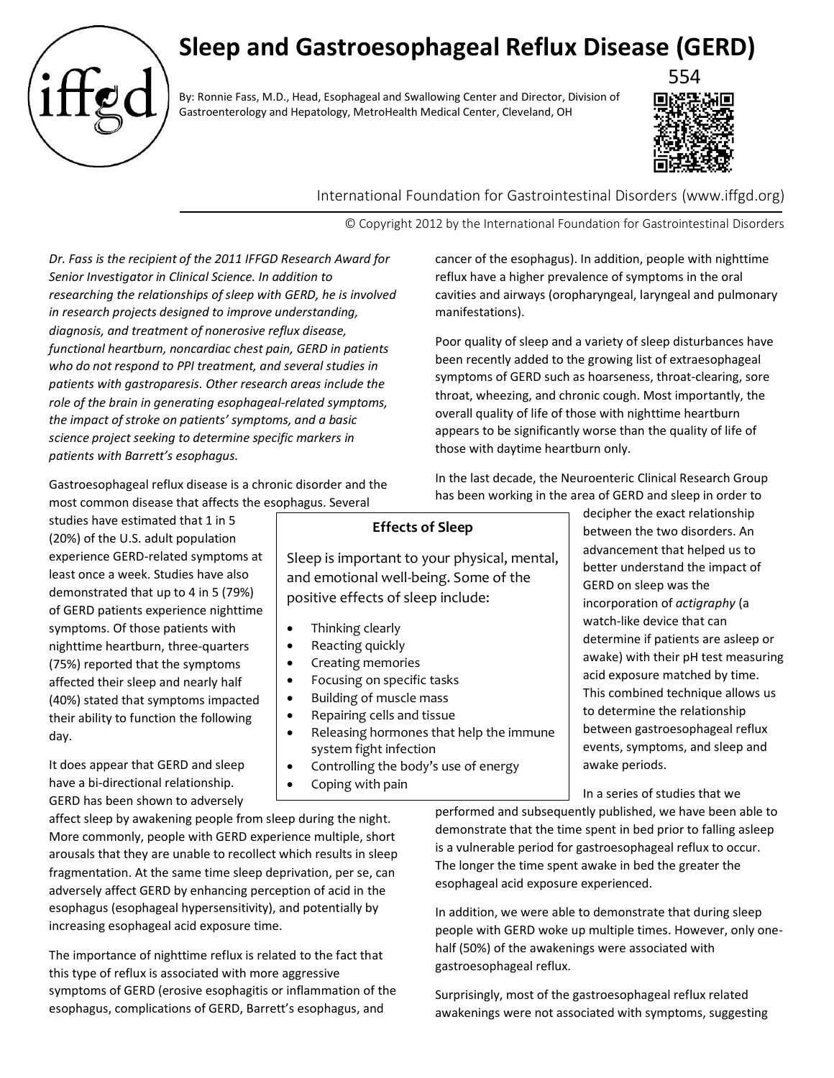# **Sleep and Gastroesophageal Reflux Disease (GERD)**

By: Ronnie Fass, M.D., Head, Esophageal and Swallowing Center and Director, Division of Gastroenterology and Hepatology, MetroHealth Medical Center, Cleveland, OH



International Foundation for Gastrointestinal Disorders (www.iffgd.org)

© Copyright 2012 by the International Foundation for Gastrointestinal Disorders

*Dr. Fass is the recipient of the 2011 IFFGD Research Award for Senior Investigator in Clinical Science. In addition to researching the relationships of sleep with GERD, he is involved in research projects designed to improve understanding, diagnosis, and treatment of nonerosive reflux disease, functional heartburn, noncardiac chest pain, GERD in patients who do not respond to PPI treatment, and several studies in patients with gastroparesis. Other research areas include the role of the brain in generating esophageal-related symptoms, the impact of stroke on patients' symptoms, and a basic science project seeking to determine specific markers in patients with Barrett's esophagus.*

Gastroesophageal reflux disease is a chronic disorder and the most common disease that affects the esophagus. Several

studies have estimated that 1 in 5 (20%) of the U.S. adult population experience GERD-related symptoms at least once a week. Studies have also demonstrated that up to 4 in 5 (79%) of GERD patients experience nighttime symptoms. Of those patients with nighttime heartburn, three-quarters (75%) reported that the symptoms affected their sleep and nearly half (40%) stated that symptoms impacted their ability to function the following day.

**Effects of Sleep**

Sleep is important to your physical, mental, and emotional well-being. Some of the positive effects of sleep include:

- Thinking clearly
- Reacting quickly
- Creating memories
- Focusing on specific tasks
- Building of muscle mass
- Repairing cells and tissue
- Releasing hormones that help the immune system fight infection
- Controlling the body's use of energy
- Coping with pain

between the two disorders. An advancement that helped us to better understand the impact of GERD on sleep was the incorporation of *actigraphy* (a watch-like device that can determine if patients are asleep or awake) with their pH test measuring acid exposure matched by time. This combined technique allows us to determine the relationship between gastroesophageal reflux events, symptoms, and sleep and awake periods.

In a series of studies that we

decipher the exact relationship

It does appear that GERD and sleep have a bi-directional relationship. GERD has been shown to adversely

affect sleep by awakening people from sleep during the night. More commonly, people with GERD experience multiple, short arousals that they are unable to recollect which results in sleep fragmentation. At the same time sleep deprivation, per se, can adversely affect GERD by enhancing perception of acid in the esophagus (esophageal hypersensitivity), and potentially by increasing esophageal acid exposure time.

The importance of nighttime reflux is related to the fact that this type of reflux is associated with more aggressive symptoms of GERD (erosive esophagitis or inflammation of the esophagus, complications of GERD, Barrett's esophagus, and

performed and subsequently published, we have been able to demonstrate that the time spent in bed prior to falling asleep is a vulnerable period for gastroesophageal reflux to occur. The longer the time spent awake in bed the greater the esophageal acid exposure experienced.

In addition, we were able to demonstrate that during sleep people with GERD woke up multiple times. However, only onehalf (50%) of the awakenings were associated with gastroesophageal reflux.

Surprisingly, most of the gastroesophageal reflux related awakenings were not associated with symptoms, suggesting

manifestations).

Poor quality of sleep and a variety of sleep disturbances have been recently added to the growing list of extraesophageal

those with daytime heartburn only.

symptoms of GERD such as hoarseness, throat-clearing, sore throat, wheezing, and chronic cough. Most importantly, the overall quality of life of those with nighttime heartburn appears to be significantly worse than the quality of life of

cancer of the esophagus). In addition, people with nighttime reflux have a higher prevalence of symptoms in the oral cavities and airways (oropharyngeal, laryngeal and pulmonary

In the last decade, the Neuroenteric Clinical Research Group has been working in the area of GERD and sleep in order to